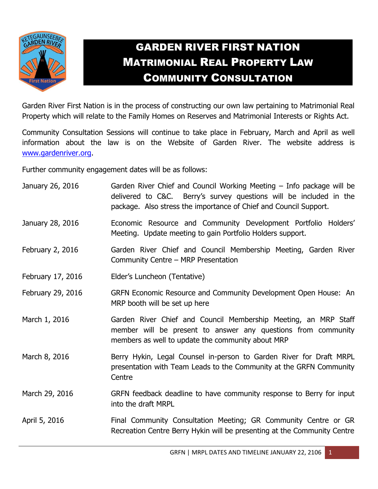

## GARDEN RIVER FIRST NATION MATRIMONIAL REAL PROPERTY LAW COMMUNITY CONSULTATION

Garden River First Nation is in the process of constructing our own law pertaining to Matrimonial Real Property which will relate to the Family Homes on Reserves and Matrimonial Interests or Rights Act.

Community Consultation Sessions will continue to take place in February, March and April as well information about the law is on the Website of Garden River. The website address is [www.gardenriver.org.](http://www.gardenriver.org/)

Further community engagement dates will be as follows:

| January 26, 2016  | Garden River Chief and Council Working Meeting - Info package will be<br>delivered to C&C. Berry's survey questions will be included in the<br>package. Also stress the importance of Chief and Council Support. |
|-------------------|------------------------------------------------------------------------------------------------------------------------------------------------------------------------------------------------------------------|
| January 28, 2016  | Economic Resource and Community Development Portfolio Holders'<br>Meeting. Update meeting to gain Portfolio Holders support.                                                                                     |
| February 2, 2016  | Garden River Chief and Council Membership Meeting, Garden River<br>Community Centre - MRP Presentation                                                                                                           |
| February 17, 2016 | Elder's Luncheon (Tentative)                                                                                                                                                                                     |
| February 29, 2016 | GRFN Economic Resource and Community Development Open House: An<br>MRP booth will be set up here                                                                                                                 |
| March 1, 2016     | Garden River Chief and Council Membership Meeting, an MRP Staff<br>member will be present to answer any questions from community<br>members as well to update the community about MRP                            |
| March 8, 2016     | Berry Hykin, Legal Counsel in-person to Garden River for Draft MRPL<br>presentation with Team Leads to the Community at the GRFN Community<br>Centre                                                             |
| March 29, 2016    | GRFN feedback deadline to have community response to Berry for input<br>into the draft MRPL                                                                                                                      |
| April 5, 2016     | Final Community Consultation Meeting; GR Community Centre or GR<br>Recreation Centre Berry Hykin will be presenting at the Community Centre                                                                      |